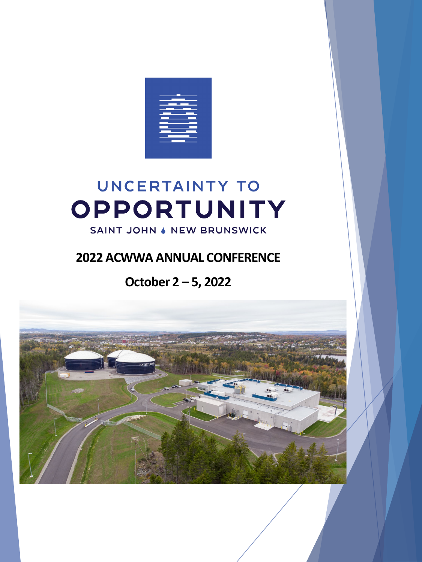

# **UNCERTAINTY TO** OPPORTUNITY

#### SAINT JOHN & NEW BRUNSWICK

### **2022 ACWWA ANNUAL CONFERENCE**

## **October 2 – 5, 2022**

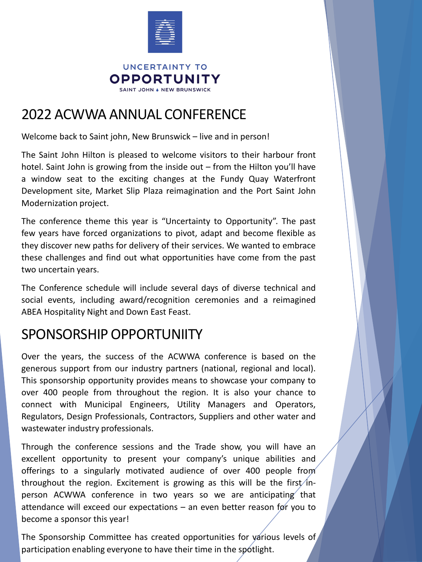

## 2022 ACWWA ANNUAL CONFERENCE

Welcome back to Saint john, New Brunswick – live and in person!

The Saint John Hilton is pleased to welcome visitors to their harbour front hotel. Saint John is growing from the inside out – from the Hilton you'll have a window seat to the exciting changes at the Fundy Quay Waterfront Development site, Market Slip Plaza reimagination and the Port Saint John Modernization project.

The conference theme this year is "Uncertainty to Opportunity". The past few years have forced organizations to pivot, adapt and become flexible as they discover new paths for delivery of their services. We wanted to embrace these challenges and find out what opportunities have come from the past two uncertain years.

The Conference schedule will include several days of diverse technical and social events, including award/recognition ceremonies and a reimagined ABEA Hospitality Night and Down East Feast.

## SPONSORSHIP OPPORTUNIITY

Over the years, the success of the ACWWA conference is based on the generous support from our industry partners (national, regional and local). This sponsorship opportunity provides means to showcase your company to over 400 people from throughout the region. It is also your chance to connect with Municipal Engineers, Utility Managers and Operators, Regulators, Design Professionals, Contractors, Suppliers and other water and wastewater industry professionals.

Through the conference sessions and the Trade show, you will have an excellent opportunity to present your company's unique abilities and offerings to a singularly motivated audience of over 400 people from throughout the region. Excitement is growing as this will be the first/inperson ACWWA conference in two years so we are anticipating that attendance will exceed our expectations – an even better reason for you to become a sponsor this year!

The Sponsorship Committee has created opportunities for various levels of participation enabling everyone to have their time in the spotlight.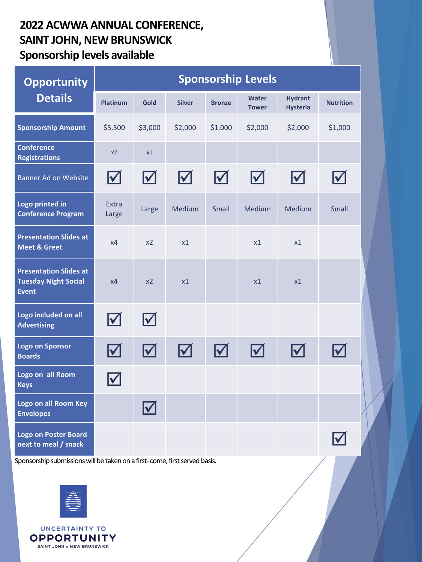#### **2022 ACWWA ANNUAL CONFERENCE, SAINT JOHN, NEW BRUNSWICK Sponsorship levels available**

| <b>Opportunity</b>                                                           | <b>Sponsorship Levels</b> |                                       |                           |                           |                              |                                   |                  |  |
|------------------------------------------------------------------------------|---------------------------|---------------------------------------|---------------------------|---------------------------|------------------------------|-----------------------------------|------------------|--|
| <b>Details</b>                                                               | <b>Platinum</b>           | Gold                                  | <b>Silver</b>             | <b>Bronze</b>             | <b>Water</b><br><b>Tower</b> | <b>Hydrant</b><br><b>Hysteria</b> | <b>Nutrition</b> |  |
| <b>Sponsorship Amount</b>                                                    | \$5,500                   | \$3,000                               | \$2,000                   | \$1,000                   | \$2,000                      | \$2,000                           | \$1,000          |  |
| <b>Conference</b><br><b>Registrations</b>                                    | x2                        | x1                                    |                           |                           |                              |                                   |                  |  |
| Banner Ad on Website                                                         | $\blacktriangledown$      | $\boldsymbol{\mathsf{M}}$             | $\blacktriangleright$     | $\Delta$                  | $\boldsymbol{\nabla}$        | $\blacktriangledown$              |                  |  |
| Logo printed in<br><b>Conference Program</b>                                 | Extra<br>Large            | Large                                 | Medium                    | <b>Small</b>              | Medium                       | <b>Medium</b>                     | <b>Small</b>     |  |
| <b>Presentation Slides at</b><br><b>Meet &amp; Greet</b>                     | x4                        | x <sub>2</sub>                        | x1                        |                           | x1                           | x1                                |                  |  |
| <b>Presentation Slides at</b><br><b>Tuesday Night Social</b><br><b>Event</b> | x4                        | x <sub>2</sub>                        | x1                        |                           | x1                           | x1                                |                  |  |
| Logo included on all<br><b>Advertising</b>                                   | $\boldsymbol{\mathsf{M}}$ | $\blacktriangledown$                  |                           |                           |                              |                                   |                  |  |
| <b>Logo on Sponsor</b><br><b>Boards</b>                                      | $\blacktriangleright$     | $\boldsymbol{\mathsf{\underline{M}}}$ | $\boldsymbol{\mathsf{M}}$ | $\boldsymbol{\mathsf{M}}$ | $\boldsymbol{\nabla}$        | $\boldsymbol{\mathsf{M}}$         |                  |  |
| Logo on all Room<br><b>Keys</b>                                              | V                         |                                       |                           |                           |                              |                                   |                  |  |
| Logo on all Room Key<br><b>Envelopes</b>                                     |                           | $\boldsymbol{\blacktriangledown}$     |                           |                           |                              |                                   |                  |  |
| <b>Logo on Poster Board</b><br>next to meal / snack                          |                           |                                       |                           |                           |                              |                                   |                  |  |

Sponsorship submissions will be taken on a first- come, first served basis.



**UNCERTAINTY TO OPPORTUNITY** SAINT JOHN . NEW BRUNSWICK